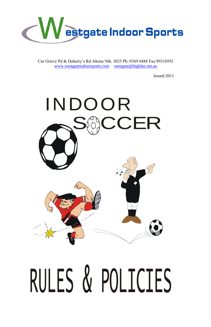

Cnr Grieve Pd & Doherty's Rd Altona Nth. 3025 Ph::9369 6888 Fax:99310592 [www.westgateindoorsports.com](http://www.westgateindoorsports.com/) [westgate@bigblue.net.au](mailto:westgate@bigblue.net.au)

Issued 2011

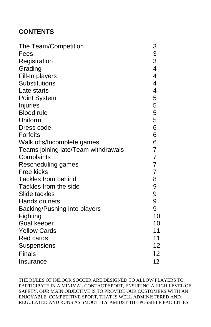# **CONTENTS**

| The Team/Competition                |                          |
|-------------------------------------|--------------------------|
| Fees                                |                          |
| Registration                        | 3<br>3<br>3<br>4         |
| Grading                             |                          |
| Fill-In players                     | 4                        |
| <b>Substitutions</b>                | $\overline{\mathbf{4}}$  |
| Late starts                         | $\overline{\mathcal{A}}$ |
| <b>Point System</b>                 | 5                        |
| Injuries                            | 5                        |
| <b>Blood rule</b>                   | 5                        |
| Uniform                             | 5                        |
| Dress code                          | 6                        |
| <b>Forfeits</b>                     | 6                        |
| Walk offs/Incomplete games.         | 6                        |
| Teams joining late/Team withdrawals | $\overline{7}$           |
| Complaints                          | $\overline{7}$           |
| Rescheduling games                  | 7                        |
| Free kicks                          | $\overline{7}$           |
| <b>Tackles from behind</b>          | 8                        |
| Tackles from the side               | 9                        |
| Slide tackles                       | 9                        |
| Hands on nets                       | 9                        |
| Backing/Pushing into players        | 9                        |
| Fighting                            | 10                       |
| Goal keeper                         | 10                       |
| <b>Yellow Cards</b>                 | 11                       |
| <b>Red cards</b>                    | 11                       |
| Suspensions                         | 12                       |
| <b>Finals</b>                       | 12                       |
| Insurance                           | 12                       |

THE RULES OF INDOOR SOCCER ARE DESIGNED TO ALLOW PLAYERS TO PARTICIPATE IN A MINIMAL CONTACT SPORT, ENSURING A HIGH LEVEL OF SAFETY. OUR MAIN OBJECTIVE IS TO PROVIDE OUR CUSTOMERS WITH AN ENJOYABLE, COMPETITIVE SPORT, THAT IS WELL ADMINISTERED AND REGULATED AND RUNS AS SMOOTHLY AMIDST THE POSSIBLE FACILITIES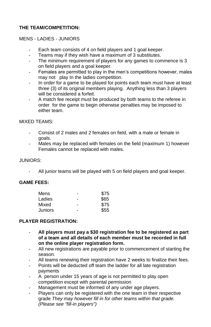#### **THE TEAM/COMPETITION:**

#### MENS - LADIES - JUNIORS

- Each team consists of 4 on field players and 1 goal keeper.
- Teams may if they wish have a maximum of 3 substitutes.
- The minimum requirement of players for any games to commence is 3 on field players and a goal keeper.
- Females are permitted to play in the men's competitions however, males may not play In the ladies competition.
- In order for a game to be played for points each team must have at least three (3) of its original members playing. Anything less than 3 players will be considered a forfeit.
- A match fee receipt must be produced by both teams to the referee in order for the game to begin otherwise penalties may be imposed to either team.

#### MIXED TEAMS:

- Consist of 2 males and 2 females on field, with a male or female in goals.
- Males may be replaced with females on the field (maximum 1) however Females cannot be replaced with males.

#### JUNIORS:

All junior teams will be played with 5 on field players and goal keeper.

#### **GAME FEES:**

| Mens    | - | \$75 |
|---------|---|------|
| Ladies  | - | \$65 |
| Mixed   | - | \$75 |
| Juniors | - | \$55 |

#### **PLAYER REGISTRATION:**

- **All players must pay a \$30 registration fee to be registered as part of a team and all details of each member must be recorded in full on the online player registration form.**
- All new registrations are payable prior to commencement of starting the season.
- All teams renewing their registration have 2 weeks to finalize their fees.
- Points will be deducted off team the ladder for all late registration payments
- A person under 15 years of age is not permitted to play open competition except with parental permission
- Management must be informed of any under age players.
- Players can only be registered with the one team in their respective grade *They may however fill in for other teams within that grade. (Please see "fill-in players")*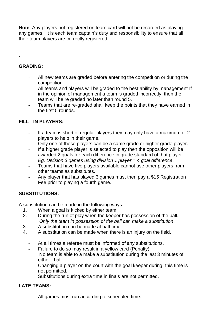**Note**. Any players not registered on team card will not be recorded as playing any games. It is each team captain's duty and responsibility to ensure that all their team players are correctly registered.

## **GRADING:**

.

- All new teams are graded before entering the competition or during the competition.
- All teams and players will be graded to the best ability by management If in the opinion of management a team is graded incorrectly, then the team will be re graded no later than round 5.
- Teams that are re-graded shall keep the points that they have earned in the first 5 rounds.

## **FILL - IN PLAYERS:**

- If a team is short of regular players they may only have a maximum of 2 players to help in their game.
- Only one of those players can be a same grade or higher grade player.
- If a higher grade player is selected to play then the opposition will be awarded 2 goals for each difference in grade standard of that player. *Eg. Division 3 games using division 1 player = 4 goal difference*.
- Teams that have five players available cannot use other players from other teams as substitutes.
- Any player that has played 3 games must then pay a \$15 Registration Fee prior to playing a fourth game.

## **SUBSTITUTIONS:**

A substitution can be made in the following ways:

- 1. When a goal is kicked by either team.
- 2. During the run of play when the keeper has possession of the ball. *Only the team in possession of the ball can make a substitution*.
- 3. A substitution can be made at half time.
- 4. A substitution can be made when there is an injury on the field.
	- At all times a referee must be informed of any substitutions.
	- Failure to do so may result in a yellow card (Penalty).
	- No team is able to a make a substitution during the last 3 minutes of either half.
	- Changing a player on the court with the goal keeper during this time is not permitted.
	- Substitutions during extra time in finals are not permitted.

## **LATE TEAMS:**

All games must run according to scheduled time.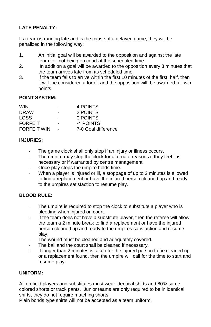## **LATE PENALTY:**

If a team is running late and is the cause of a delayed game, they will be penalized in the following way:

- 1. An initial goal will be awarded to the opposition and against the late team for not being on court at the scheduled time.
- 2. In addition a goal will be awarded to the opposition every 3 minutes that the team arrives late from its scheduled time.
- 3. If the team fails to arrive within the first 10 minutes of the first half, then it will be considered a forfeit and the opposition will be awarded full win points.

#### **POINT SYSTEM:**

| <b>WIN</b>         |        | 4 POINTS            |
|--------------------|--------|---------------------|
| <b>DRAW</b>        |        | 2 POINTS            |
| LOSS.              | -      | 0 POINTS            |
| <b>FORFEIT</b>     | -      | -4 POINTS           |
| <b>FORFEIT WIN</b> | $\sim$ | 7-0 Goal difference |

#### **INJURIES:**

- The game clock shall only stop if an injury or illness occurs.
- The umpire may stop the clock for alternate reasons if they feel it is necessary or if warranted by centre management.
- Once play stops the umpire holds time.
- When a player is injured or ill, a stoppage of up to 2 minutes is allowed to find a replacement or have the injured person cleaned up and ready to the umpires satisfaction to resume play.

## **BLOOD RULE:**

- The umpire is required to stop the clock to substitute a player who is bleeding when injured on court.
- If the team does not have a substitute player, then the referee will allow the team a 2 minute break to find a replacement or have the injured person cleaned up and ready to the umpires satisfaction and resume play.
- The wound must be cleaned and adequately covered.
- The ball and the court shall be cleaned if necessary.
- If longer than 2 minutes is taken for the injured person to be cleaned up or a replacement found, then the umpire will call for the time to start and resume play.

#### **UNIFORM:**

All on field players and substitutes must wear identical shirts and 80% same colored shorts or track pants. Junior teams are only required to be in identical shirts, they do not require matching shorts.

Plain bonds type shirts will not be accepted as a team uniform.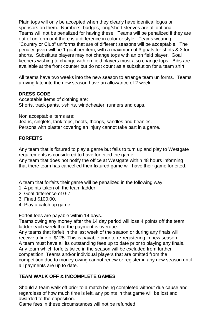Plain tops will only be accepted when they clearly have identical logos or sponsors on them. Numbers, badges, long/short sleeves are all optional. Teams will not be penalized for having these. Teams will be penalized if they are out of uniform or if there is a difference in color or style. Teams wearing "Country or Club" uniforms that are of different seasons will be acceptable. The penalty given will be 1 goal per item, with a maximum of 3 goals for shirts & 3 for shorts. Substitute players may not change tops with an on field player. Goal keepers wishing to change with on field players must also change tops. Bibs are available at the front counter but do not count as a substitution for a team shirt.

All teams have two weeks into the new season to arrange team uniforms. Teams arriving late into the new season have an allowance of 2 week.

#### **DRESS CODE**

Acceptable items of clothing are: Shorts, track pants, t-shirts, windcheater, runners and caps.

Non acceptable items are:

Jeans, singlets, tank tops, boots, thongs, sandles and beanies. Persons with plaster covering an injury cannot take part in a game.

## **FORFEITS**

Any team that is fixtured to play a game but fails to turn up and play to Westgate requirements is considered to have forfeited the game.

Any team that does not notify the office at Westgate within 48 hours informing that there team has cancelled their fixtured game will have their game forfeited.

A team that forfeits their game will be penalized in the following way.

- 1. 4 points taken off the team ladder.
- 2. Goal difference of 0-7.
- 3. Fined \$100.00.
- 4. Play a catch up game

Forfeit fees are payable within 14 days.

Teams owing any money after the 14 day period will lose 4 points off the team ladder each week that the payment is overdue.

Any teams that forfeit in the last week of the season or during any finals will receive a fine of \$125. This is payable prior to re-registering in new season. A team must have all its outstanding fees up to date prior to playing any finals. Any team which forfeits twice in the season will be excluded from further competition. Teams and/or individual players that are omitted from the competition due to money owing cannot renew or register in any new season until all payments are up to date.

## **TEAM WALK OFF & INCOMPLETE GAMES**

Should a team walk off prior to a match being completed without due cause and regardless of how much time is left, any points in that game will be lost and awarded to the opposition.

Game fees in these circumstances will not be refunded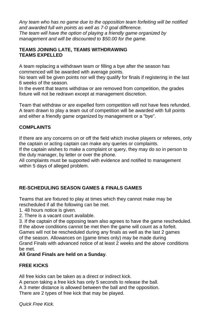*Any team who has no game due to the opposition team forfeiting will be notified and awarded full win points as well as 7-0 goal difference. The team will have the option of playing a friendly game organized by management and will be discounted to \$50.00 for the game.*

#### **TEAMS JOINING LATE, TEAMS WITHDRAWING TEAMS EXPELLED**

A team replacing a withdrawn team or filling a bye after the season has commenced will be awarded with average points.

No team will be given points nor will they qualify for finals if registering in the last 6 weeks of the season.

In the event that teams withdraw or are removed from competition, the grades fixture will not be redrawn except at management discretion.

Team that withdraw or are expelled form competition will not have fees refunded. A team drawn to play a team out of competition will be awarded with full points and either a friendly game organized by management or a "bye".

## **COMPLAINTS**

If there are any concerns on or off the field which involve players or referees, only the captain or acting captain can make any queries or complaints.

If the captain wishes to make a complaint or query, they may do so in person to the duty manager, by letter or over the phone.

All complaints must be supported with evidence and notified to management within 5 days of alleged problem.

## **RE-SCHEDULING SEASON GAMES & FINALS GAMES**

Teams that are fixtured to play at times which they cannot make may be rescheduled if all the following can be met.

1. 48 hours notice is given.

2. There is a vacant court available.

3. If the captain of the opposing team also agrees to have the game rescheduled. If the above conditions cannot be met then the game will count as a forfeit. Games will not be rescheduled during any finals as well as the last 2 games of the season. Allowances on (game times only) may be made during Grand Finals with advanced notice of at least 2 weeks and the above conditions be met.

## **All Grand Finals are held on a Sunday**.

## **FREE KICKS**

All free kicks can be taken as a direct or indirect kick.

A person taking a free kick has only 5 seconds to release the ball.

A 3 meter distance is allowed between the ball and the opposition.

There are 2 types of free kick that may be played.

*Quick Free Kick.*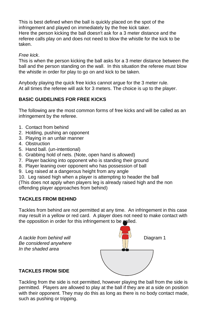This is best defined when the ball is quickly placed on the spot of the infringement and played on immediately by the free kick taker. Here the person kicking the ball doesn't ask for a 3 meter distance and the referee calls play on and does not need to blow the whistle for the kick to be taken.

#### *Free kick*.

This is when the person kicking the ball asks for a 3 meter distance between the ball and the person standing on the wall. In this situation the referee must blow the whistle in order for play to go on and kick to be taken.

Anybody playing the quick free kicks cannot argue for the 3 meter rule. At all times the referee will ask for 3 meters. The choice is up to the player.

## **BASIC GUIDELINES FOR FREE KICKS**

The following are the most common forms of free kicks and will be called as an infringement by the referee.

- 1. Contact from behind
- 2. Holding, pushing an opponent
- 3. Playing in an unfair manner
- 4. Obstruction
- 5. Hand ball. (un-intentional)
- 6. Grabbing hold of nets. (Note, open hand is allowed)
- 7. Player backing into opponent who is standing their ground
- 8. Player leaning over opponent who has possession of ball
- 9. Leg raised at a dangerous height from any angle
- 10. Leg raised high when a player is attempting to header the ball

(This does not apply when players leg is already raised high and the non offending player approaches from behind)

## **TACKLES FROM BEHIND**

Tackles from behind are not permitted at any time. An infringement in this case may result in a yellow or red card. A player does not need to make contact with the opposition in order for this infringement to be called.





#### **TACKLES FROM SIDE**

Tackling from the side is not permitted, however playing the ball from the side is permitted. Players are allowed to play at the ball if they are at a side on position with their opponent. They may do this as long as there is no body contact made, such as pushing or tripping.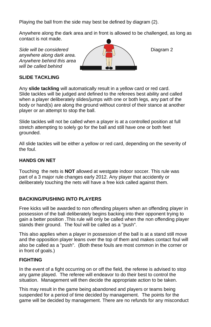Playing the ball from the side may best be defined by diagram (2).

Anywhere along the dark area and in front is allowed to be challenged, as long as contact is not made.

*anywhere along dark area. Anywhere behind this area will be called behind*



## **SLIDE TACKLING**

Any **slide tackling** will automatically result in a yellow card or red card. Slide tackles will be judged and defined to the referees best ability and called when a player deliberately slides/jumps with one or both legs, any part of the body or hand(s) are along the ground without control of their stance at another player or an attempt to stop the ball.

Slide tackles will not be called when a player is at a controlled position at full stretch attempting to solely go for the ball and still have one or both feet grounded.

All slide tackles will be either a yellow or red card, depending on the severity of the foul.

## **HANDS ON NET**

Touching the nets is **NOT** allowed at westgate indoor soccer. This rule was part of a 3 major rule changes early 2012. Any player that accidently or deliberately touching the nets will have a free kick called against them.

## **BACKING/PUSHING INTO PLAYERS**

Free kicks will be awarded to non offending players when an offending player in possession of the ball deliberately begins backing into their opponent trying to gain a better position .This rule will only be called when the non offending player stands their ground. The foul will be called as a "push".

This also applies when a player in possession of the ball is at a stand still move and the opposition player leans over the top of them and makes contact foul will also be called as a "push". (Both these fouls are most common in the corner or in front of goals.)

## **FIGHTING**

In the event of a fight occurring on or off the field, the referee is advised to stop any game played. The referee will endeavor to do their best to control the situation. Management will then decide the appropriate action to be taken.

This may result in the game being abandoned and players or teams being suspended for a period of time decided by management. The points for the game will be decided by management. There are no refunds for any misconduct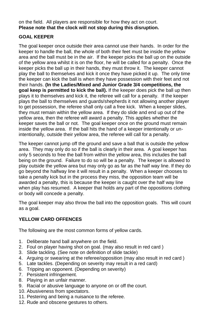on the field. All players are responsible for how they act on court. **Please note that the clock will not stop during this disruption.**

## **GOAL KEEPER**

The goal keeper once outside their area cannot use their hands. In order for the keeper to handle the ball, the whole of both their feet must be inside the yellow area and the ball must be in the air. If the keeper picks the ball up on the outside of the yellow area whilst it is on the floor, he will be called for a penalty. Once the keeper picks the ball up in their hands, they must throw it. The keeper cannot play the ball to themselves and kick it once they have picked it up. The only time the keeper can kick the ball is when they have possession with their feet and not their hands. **(In the Ladies/Mixed and Junior Grade 3/4 competitions, the goal keep is permitted to kick the ball).** If the keeper does pick the ball up then plays it to themselves and kick it, the referee will call for a penalty. If the keeper plays the ball to themselves and guards/shepherds it not allowing another player to get possession, the referee shall only call a free kick. When a keeper slides, they must remain within the yellow area. If they do slide and end up out of the yellow area, then the referee will award a penalty. This applies whether the keeper saves the ball or not. The goal keeper once on the ground must remain inside the yellow area. If the ball hits the hand of a keeper intentionally or unintentionally, outside their yellow area, the referee will call for a penalty.

The keeper cannot jump off the ground and save a ball that is outside the yellow area. They may only do so if the ball is clearly in their area. A goal keeper has only 5 seconds to free the ball from within the yellow area, this includes the ball being on the ground. Failure to do so will be a penalty. The keeper is allowed to play outside the yellow area but may only go as far as the half way line. If they do go beyond the halfway line it will result in a penalty. When a keeper chooses to take a penalty kick but in the process they miss, the opposition team will be awarded a penalty, this is because the keeper is caught over the half way line when play has resumed. A keeper that holds any part of the oppositions clothing or body will concede a penalty.

The goal keeper may also throw the ball into the opposition goals. This will count as a goal.

## **YELLOW CARD OFFENCES**

The following are the most common forms of yellow cards.

- 1. Deliberate hand ball anywhere on the field.
- 2. Foul on player having shot on goal. (may also result in red card )
- 3. Slide tackling. (See note on definition of slide tackle)
- 4. Arguing or swearing at the referee/opposition (may also result in red card )
- 5. Late tackles. (Depending on severity may result in a red card)
- 6. Tripping an opponent. (Depending on severity)
- 7. Persistent infringement.
- 8. Playing in an unfair manner.
- 9. Racial or abusive language to anyone on or off the court.
- 10. Abusiveness from spectators.
- 11. Pestering and being a nuisance to the referee.
- 12. Rude and obscene gestures to others.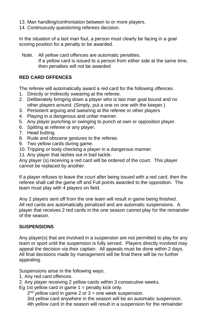- 13. Man handling/confrontation between to or more players.
- 14. Continuously questioning referees decision.

In the situation of a last man foul, a person must clearly be facing in a goal scoring position for a penalty to be awarded.

 Note. All yellow card offences are automatic penalties. If a yellow card is issued to a person from either side at the same time, then penalties will not be awarded

## **RED CARD OFFENCES**

The referee will automatically award a red card for the following offences.

- 1. Directly or Indirectly swearing at the referee.
- 2. Deliberately bringing down a player who is last man goal bound and no other players around. (Simply, put a one on one with the keeper.)
- 3. Persistent arguing and swearing at the referee or other players
- 4. Playing in a dangerous and unfair manner.
- 5. Any player punching or swinging to punch at own or opposition player.
- 6. Spitting at referee or any player.
- 7. Head butting.
- 8. Rude and obscene gestures to the referee.
- 9. Two yellow cards during game.
- 10. Tripping or body checking a player in a dangerous manner.
- 11. Any player that lashes out in bad tackle.

Any player (s) receiving a red card will be ordered of the court. This player cannot be replaced by another.

If a player refuses to leave the court after being issued with a red card, then the referee shall call the game off and Full points awarded to the opposition. The team must play with 4 players on field.

Any 2 players sent off from the one team will result in game being finished. All red cards are automatically penalized and are automatic suspensions. A player that receives 2 red cards in the one season cannot play for the remainder of the season.

## **SUSPENSIONS**

Any player(s) that are involved in a suspension are not permitted to play for any team or sport until the suspension is fully served. Players directly involved may appeal the decision via their captain. All appeals must be done within 2 days. All final decisions made by management will be final there will be no further appealing.

Suspensions arise in the following ways.

- 1. Any red card offences.
- 2. Any player receiving 2 yellow cards within 3 consecutive weeks.
- Eg 1st yellow card in game  $1 =$  penalty kick only.

2<sup>nd</sup> yellow card in game 2 or 3 = one week suspension.

 3rd yellow card anywhere in the season will be an automatic suspension. 4th yellow card in the season will result in a suspension for the remainder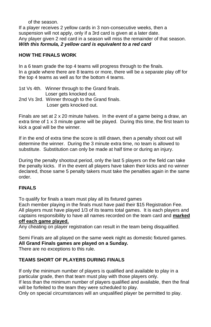of the season.

If a player receives 2 yellow cards in 3 non-consecutive weeks, then a suspension will not apply, only if a 3rd card is given at a later date. Any player given 2 red card in a season will miss the remainder of that season. *With this formula, 2 yellow card is equivalent to a red card*

#### **HOW THE FINALS WORK**

In a 6 team grade the top 4 teams will progress through to the finals. In a grade where there are 8 teams or more, there will be a separate play off for the top 4 teams as well as for the bottom 4 teams.

1st Vs 4th. Winner through to the Grand finals. Loser gets knocked out. 2nd Vs 3rd. Winner through to the Grand finals. Loser gets knocked out.

Finals are set at 2 x 20 minute halves. In the event of a game being a draw, an extra time of 1 x 3 minute game will be played. During this time, the first team to kick a goal will be the winner.

If in the end of extra time the score is still drawn, then a penalty shoot out will determine the winner. During the 3 minute extra time, no team is allowed to substitute. Substitution can only be made at half time or during an injury.

During the penalty shootout period, only the last 5 players on the field can take the penalty kicks. If in the event all players have taken their kicks and no winner declared, those same 5 penalty takers must take the penalties again in the same order.

## **FINALS**

To qualify for finals a team must play all its fixtured games

Each member playing in the finals must have paid their \$15 Registration Fee. All players must have played 1/3 of its teams total games. It is each players and captains responsibility to have all names recorded on the team card and **marked off each game played.**

Any cheating on player registration can result in the team being disqualified.

Semi Finals are all played on the same week night as domestic fixtured games. **All Grand Finals games are played on a Sunday.**

There are no exceptions to this rule.

## **TEAMS SHORT OF PLAYERS DURING FINALS**

If only the minimum number of players is qualified and available to play in a particular grade, then that team must play with those players only.

If less than the minimum number of players qualified and available, then the final will be forfeited to the team they were scheduled to play.

Only on special circumstances will an unqualified player be permitted to play.